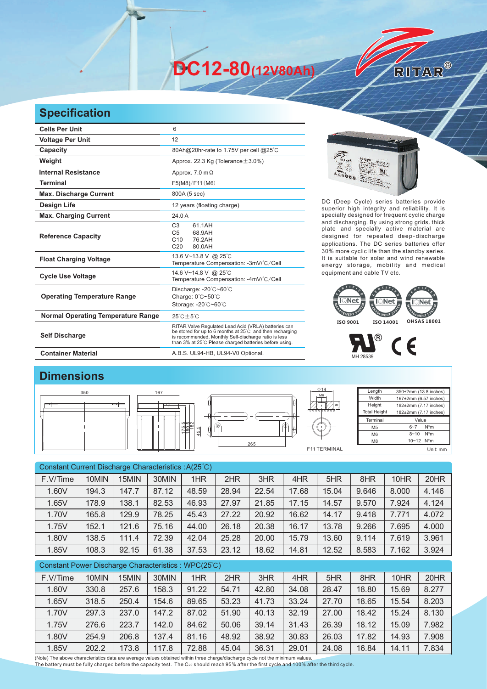**DC12-80(12V80Ah)** 



| <b>Cells Per Unit</b>                     | 6                                                                                                                                                                                                                                   |  |  |  |  |  |
|-------------------------------------------|-------------------------------------------------------------------------------------------------------------------------------------------------------------------------------------------------------------------------------------|--|--|--|--|--|
| <b>Voltage Per Unit</b>                   | 12                                                                                                                                                                                                                                  |  |  |  |  |  |
| Capacity                                  | 80Ah@20hr-rate to 1.75V per cell @25°C                                                                                                                                                                                              |  |  |  |  |  |
| Weight                                    | Approx. 22.3 Kg (Tolerance $\pm$ 3.0%)                                                                                                                                                                                              |  |  |  |  |  |
| <b>Internal Resistance</b>                | Approx. $7.0 \text{ m}\Omega$                                                                                                                                                                                                       |  |  |  |  |  |
| <b>Terminal</b>                           | F5(M8)/F11(M6)                                                                                                                                                                                                                      |  |  |  |  |  |
| <b>Max. Discharge Current</b>             | 800A (5 sec)                                                                                                                                                                                                                        |  |  |  |  |  |
| Design Life                               | 12 years (floating charge)                                                                                                                                                                                                          |  |  |  |  |  |
| <b>Max. Charging Current</b>              | 24.0 A                                                                                                                                                                                                                              |  |  |  |  |  |
| <b>Reference Capacity</b>                 | 61.1AH<br>C <sub>3</sub><br>68.9AH<br>C <sub>5</sub><br>C10<br>76.2AH<br>C <sub>20</sub><br>80.0AH                                                                                                                                  |  |  |  |  |  |
| <b>Float Charging Voltage</b>             | 13.6 V~13.8 V @ 25°C<br>Temperature Compensation: -3mV/°C/Cell                                                                                                                                                                      |  |  |  |  |  |
| <b>Cycle Use Voltage</b>                  | 14.6 V~14.8 V @ 25°C<br>Temperature Compensation: -4mV/°C/Cell                                                                                                                                                                      |  |  |  |  |  |
| <b>Operating Temperature Range</b>        | Discharge: -20°C~60°C<br>Charge: 0°C~50°C<br>Storage: -20°C~60°C                                                                                                                                                                    |  |  |  |  |  |
| <b>Normal Operating Temperature Range</b> | $25^{\circ}$ C $\pm 5^{\circ}$ C                                                                                                                                                                                                    |  |  |  |  |  |
| <b>Self Discharge</b>                     | RITAR Valve Regulated Lead Acid (VRLA) batteries can<br>be stored for up to 6 months at 25°C and then recharging<br>is recommended. Monthly Self-discharge ratio is less<br>than 3% at 25°C. Please charged batteries before using. |  |  |  |  |  |
| <b>Container Material</b>                 | A.B.S. UL94-HB, UL94-V0 Optional.                                                                                                                                                                                                   |  |  |  |  |  |



RITAR®

DC (Deep Cycle) series batteries provide superior high integrity and reliability. It is specially designed for frequent cyclic charge and discharging. By using strong grids, thick plate and specially active material are designed for repeated deep-discharge applications. The DC series batteries offer 30% more cyclic life than the standby series. It is suitable for solar and wind renewable energy storage, mobility and medical equipment and cable TV etc.





## **Dimensions**



| Constant Current Discharge Characteristics: A(25°C) |       |       |       |       |       |       |       |       |       |       |       |
|-----------------------------------------------------|-------|-------|-------|-------|-------|-------|-------|-------|-------|-------|-------|
| F.V/Time                                            | 10MIN | 15MIN | 30MIN | 1HR   | 2HR   | 3HR   | 4HR   | 5HR   | 8HR   | 10HR  | 20HR  |
| 1.60V                                               | 194.3 | 147.7 | 87.12 | 48.59 | 28.94 | 22.54 | 17.68 | 15.04 | 9.646 | 8.000 | 4.146 |
| 1.65V                                               | 178.9 | 138.1 | 82.53 | 46.93 | 27.97 | 21.85 | 17.15 | 14.57 | 9.570 | 7.924 | 4.124 |
| 1.70V                                               | 165.8 | 129.9 | 78.25 | 45.43 | 27.22 | 20.92 | 16.62 | 14.17 | 9.418 | 7.771 | 4.072 |
| 1.75V                                               | 152.1 | 121.6 | 75.16 | 44.00 | 26.18 | 20.38 | 16.17 | 13.78 | 9.266 | 7.695 | 4.000 |
| 1.80V                                               | 138.5 | 111.4 | 72.39 | 42.04 | 25.28 | 20.00 | 15.79 | 13.60 | 9.114 | 7.619 | 3.961 |
| 1.85V                                               | 108.3 | 92.15 | 61.38 | 37.53 | 23.12 | 18.62 | 14.81 | 12.52 | 8.583 | 7.162 | 3.924 |
| Constant Power Discharge Characteristics: WPC(25°C) |       |       |       |       |       |       |       |       |       |       |       |
| F.V/Time                                            | 10MIN | 15MIN | 30MIN | 1HR   | 2HR   | 3HR   | 4HR   | 5HR   | 8HR   | 10HR  | 20HR  |
| 1.60V                                               | 330.8 | 257.6 | 158.3 | 91.22 | 54.71 | 42.80 | 34.08 | 28.47 | 18.80 | 15.69 | 8.277 |
| 1.65V                                               | 318.5 | 250.4 | 154.6 | 89.65 | 53.23 | 41.73 | 33.24 | 27.70 | 18.65 | 15.54 | 8.203 |
| 1.70V                                               | 297.3 | 237.0 | 147.2 | 87.02 | 51.90 | 40.13 | 32.19 | 27.00 | 18.42 | 15.24 | 8.130 |

1.75V | 276.6 | 223.7 | 142.0 | 84.62 | 50.06 | 39.14 | 31.43 | 26.39 | 18.12 | 15.09 | 7.982 1.80V 254.9 206.8 137.4 81.16 48.92 38.92 30.83 26.03 17.82 14.93 7.908 1.85V 202.2 173.8 117.8 72.88 45.04 36.31 29.01 24.08 16.84 14.11 7.834

(Note) The above characteristics data are average values obtained within three charge/discharge cycle not the minimum values.<br>The battery must be fully charged before the capacity test. The C20 should reach 95% after the